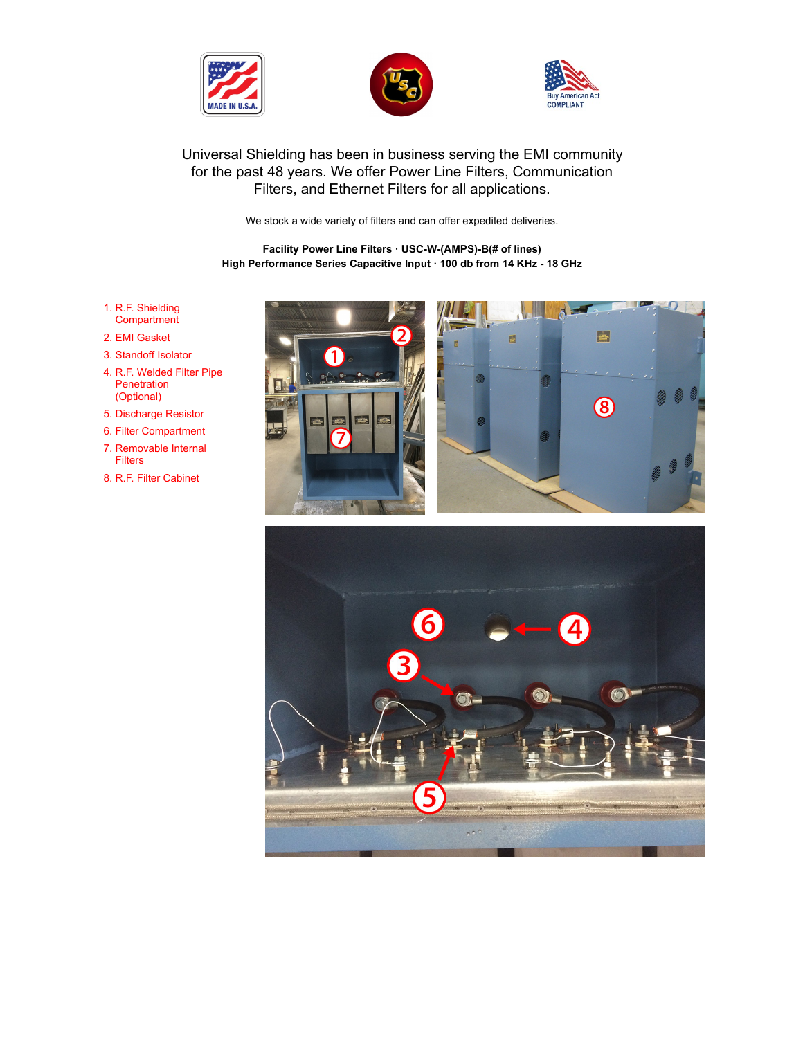





# [Un](https://www.universalshielding.com/)[iversal Shielding](https://www.universalshielding.com/Company-Profile) [has been in](https://www.universalshielding.com/Services) [business serving th](javascript: void(0))[e EMI comm](https://www.universalshielding.com/Downloads)[unity](https://www.universalshielding.com/Contact)  for the past 48 years. We offer Power Line Filters, Communication Filters, and Ethernet Filters for all applications.

We stock a wide variety of filters and can offer expedited deliveries.

**Facility Power Line Filters · USC-W-(AMPS)-B(# of lines) High Performance Series Capacitive Input · 100 db from 14 KHz - 18 GHz**

- 1. R.F. Shielding **Compartment**
- 2. EMI Gasket
- 3. Standoff Isolator
- 4. R.F. Welded Filter Pipe **Penetration** (Optional)
- 5. Discharge Resistor
- 6. Filter Compartment
- 7. Removable Internal Filters
- 8. R.F. Filter Cabinet